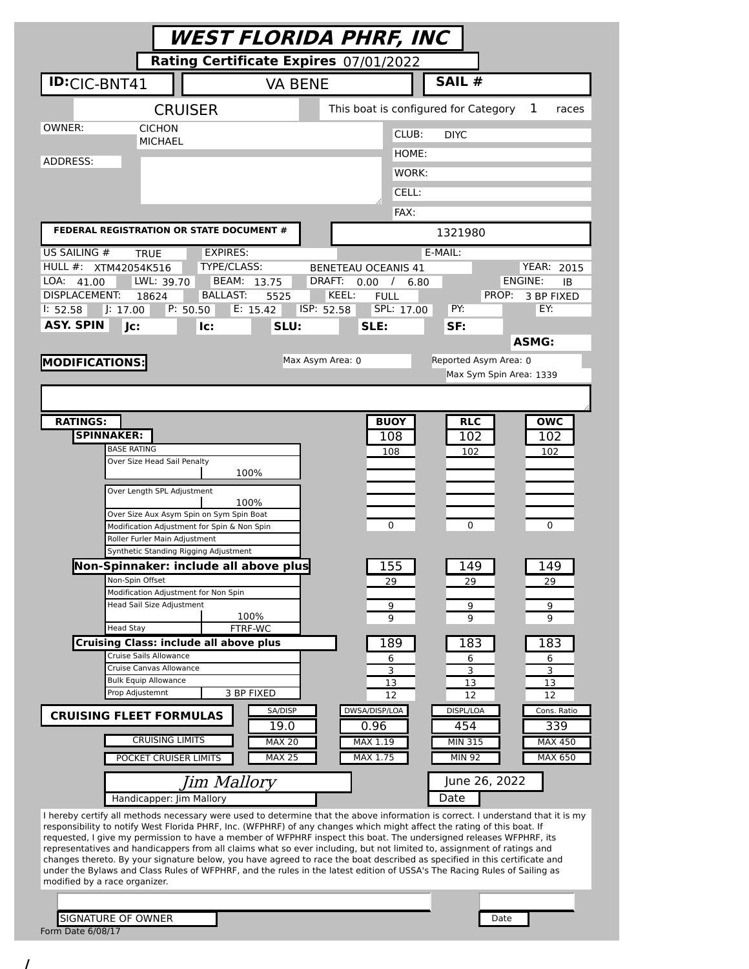|                                                                                                                         | WEST FLORIDA PHRF, INC                                                                                                          |  |
|-------------------------------------------------------------------------------------------------------------------------|---------------------------------------------------------------------------------------------------------------------------------|--|
| Rating Certificate Expires 07/01/2022                                                                                   |                                                                                                                                 |  |
| <b>ID:CIC-BNT41</b><br><b>VA BENE</b>                                                                                   | SAIL #                                                                                                                          |  |
| <b>CRUISER</b>                                                                                                          | This boat is configured for Category<br>1<br>races                                                                              |  |
| OWNER:<br><b>CICHON</b>                                                                                                 | CLUB:<br><b>DIYC</b>                                                                                                            |  |
| <b>MICHAEL</b>                                                                                                          | HOME:                                                                                                                           |  |
| ADDRESS:                                                                                                                | WORK:                                                                                                                           |  |
|                                                                                                                         | CELL:                                                                                                                           |  |
|                                                                                                                         | FAX:                                                                                                                            |  |
| FEDERAL REGISTRATION OR STATE DOCUMENT #                                                                                | 1321980                                                                                                                         |  |
| US SAILING #<br><b>EXPIRES:</b><br><b>TRUE</b>                                                                          | E-MAIL:                                                                                                                         |  |
| <b>TYPE/CLASS:</b><br>HULL #: XTM42054K516<br>LWL: 39.70<br>BEAM: 13.75<br>LOA:<br>41.00                                | <b>YEAR: 2015</b><br><b>BENETEAU OCEANIS 41</b><br>ENGINE:<br>DRAFT:<br>0.00 /<br>ΙB<br>6.80                                    |  |
| <b>DISPLACEMENT:</b><br><b>BALLAST:</b><br>18624<br>5525                                                                | KEEL:<br>PROP:<br><b>FULL</b><br>3 BP FIXED                                                                                     |  |
| P: 50.50<br>E: 15.42<br>$ $ : 17.00<br>1: 52.58                                                                         | ISP: 52.58<br>SPL: 17.00<br>PY:<br>EY:                                                                                          |  |
| <b>ASY. SPIN</b><br>Jc:<br>SLU:<br>lc:                                                                                  | SLE:<br>SF:<br><b>ASMG:</b>                                                                                                     |  |
|                                                                                                                         | Reported Asym Area: 0<br>Max Asym Area: 0                                                                                       |  |
| <b>MODIFICATIONS:</b>                                                                                                   | Max Sym Spin Area: 1339                                                                                                         |  |
|                                                                                                                         |                                                                                                                                 |  |
| <b>RATINGS:</b>                                                                                                         | <b>BUOY</b>                                                                                                                     |  |
| <b>SPINNAKER:</b>                                                                                                       | <b>RLC</b><br><b>OWC</b><br>108<br>102<br>102                                                                                   |  |
| <b>BASE RATING</b>                                                                                                      | 108<br>102<br>102                                                                                                               |  |
| Over Size Head Sail Penalty<br>100%                                                                                     |                                                                                                                                 |  |
| Over Length SPL Adjustment                                                                                              |                                                                                                                                 |  |
| 100%<br>Over Size Aux Asym Spin on Sym Spin Boat                                                                        |                                                                                                                                 |  |
| Modification Adjustment for Spin & Non Spin                                                                             | 0<br>0<br>0                                                                                                                     |  |
| Roller Furler Main Adjustment<br>Synthetic Standing Rigging Adjustment                                                  |                                                                                                                                 |  |
| Non-Spinnaker: include all above plus                                                                                   | 155<br>149<br>149                                                                                                               |  |
| Non-Spin Offset                                                                                                         | 29<br>29<br>29                                                                                                                  |  |
| Modification Adjustment for Non Spin<br>Head Sail Size Adjustment                                                       | 9<br>9<br>9                                                                                                                     |  |
| 100%<br>FTRF-WC<br><b>Head Stay</b>                                                                                     | 9<br>9<br>9                                                                                                                     |  |
| <b>Cruising Class: include all above plus</b>                                                                           | 189<br>183<br>183                                                                                                               |  |
| Cruise Sails Allowance                                                                                                  | 6<br>6<br>6                                                                                                                     |  |
| Cruise Canvas Allowance<br><b>Bulk Equip Allowance</b>                                                                  | 3<br>3<br>3<br>13<br>13<br>13                                                                                                   |  |
| Prop Adjustemnt<br>3 BP FIXED                                                                                           | 12<br>12<br>12                                                                                                                  |  |
| SA/DISP<br><b>CRUISING FLEET FORMULAS</b><br>19.0                                                                       | DWSA/DISP/LOA<br>DISPL/LOA<br>Cons. Ratio<br>0.96<br>454<br>339                                                                 |  |
| <b>CRUISING LIMITS</b><br><b>MAX 20</b>                                                                                 | MAX 1.19<br><b>MIN 315</b><br>MAX 450                                                                                           |  |
| <b>MAX 25</b><br>POCKET CRUISER LIMITS                                                                                  | MAX 1.75<br><b>MIN 92</b><br>MAX 650                                                                                            |  |
| Jim Mallory                                                                                                             | June 26, 2022                                                                                                                   |  |
| Handicapper: Jim Mallory                                                                                                | Date                                                                                                                            |  |
| responsibility to notify West Florida PHRF, Inc. (WFPHRF) of any changes which might affect the rating of this boat. If | I hereby certify all methods necessary were used to determine that the above information is correct. I understand that it is my |  |
| requested, I give my permission to have a member of WFPHRF inspect this boat. The undersigned releases WFPHRF, its      |                                                                                                                                 |  |
| representatives and handicappers from all claims what so ever including, but not limited to, assignment of ratings and  | changes thereto. By your signature below, you have agreed to race the boat described as specified in this certificate and       |  |
| modified by a race organizer.                                                                                           | under the Bylaws and Class Rules of WFPHRF, and the rules in the latest edition of USSA's The Racing Rules of Sailing as        |  |
|                                                                                                                         |                                                                                                                                 |  |
| <b>SIGNATURE OF OWNER</b>                                                                                               | Date                                                                                                                            |  |
| Form Date 6/08/17                                                                                                       |                                                                                                                                 |  |

/